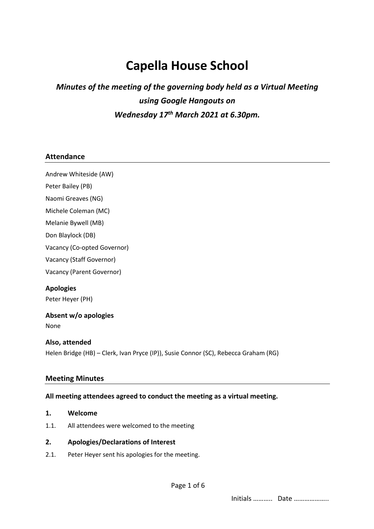# **Capella House School**

# *Minutes of the meeting of the governing body held as a Virtual Meeting using Google Hangouts on Wednesday 17th March 2021 at 6.30pm.*

#### **Attendance**

Andrew Whiteside (AW)

Peter Bailey (PB)

Naomi Greaves (NG)

Michele Coleman (MC)

Melanie Bywell (MB)

Don Blaylock (DB)

Vacancy (Co-opted Governor)

Vacancy (Staff Governor)

Vacancy (Parent Governor)

**Apologies** Peter Heyer (PH)

# **Absent w/o apologies**

None

#### **Also, attended**

Helen Bridge (HB) – Clerk, Ivan Pryce (IP)), Susie Connor (SC), Rebecca Graham (RG)

#### **Meeting Minutes**

#### **All meeting attendees agreed to conduct the meeting as a virtual meeting.**

- **1. Welcome**
- 1.1. All attendees were welcomed to the meeting

#### **2. Apologies/Declarations of Interest**

2.1. Peter Heyer sent his apologies for the meeting.

Initials ……….. Date ………………..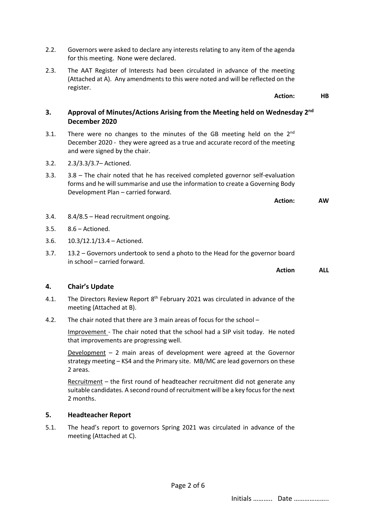- 2.2. Governors were asked to declare any interests relating to any item of the agenda for this meeting. None were declared.
- 2.3. The AAT Register of Interests had been circulated in advance of the meeting (Attached at A). Any amendments to this were noted and will be reflected on the register.

# **3. Approval of Minutes/Actions Arising from the Meeting held on Wednesday 2nd December 2020**

- 3.1. There were no changes to the minutes of the GB meeting held on the  $2^{nd}$ December 2020 - they were agreed as a true and accurate record of the meeting and were signed by the chair.
- 3.2. 2.3/3.3/3.7– Actioned.
- 3.3. 3.8 The chair noted that he has received completed governor self-evaluation forms and he will summarise and use the information to create a Governing Body Development Plan – carried forward.

- 3.4. 8.4/8.5 Head recruitment ongoing.
- 3.5. 8.6 Actioned.
- 3.6. 10.3/12.1/13.4 Actioned.
- 3.7. 13.2 Governors undertook to send a photo to the Head for the governor board in school – carried forward.

**Action ALL**

## **4. Chair's Update**

- 4.1. The Directors Review Report 8<sup>th</sup> February 2021 was circulated in advance of the meeting (Attached at B).
- 4.2. The chair noted that there are 3 main areas of focus for the school –

Improvement - The chair noted that the school had a SIP visit today. He noted that improvements are progressing well.

Development  $-2$  main areas of development were agreed at the Governor strategy meeting – KS4 and the Primary site. MB/MC are lead governors on these 2 areas.

Recruitment – the first round of headteacher recruitment did not generate any suitable candidates. A second round of recruitment will be a key focus for the next 2 months.

# **5. Headteacher Report**

5.1. The head's report to governors Spring 2021 was circulated in advance of the meeting (Attached at C).

Page 2 of 6

**Action: HB**

**Action: AW**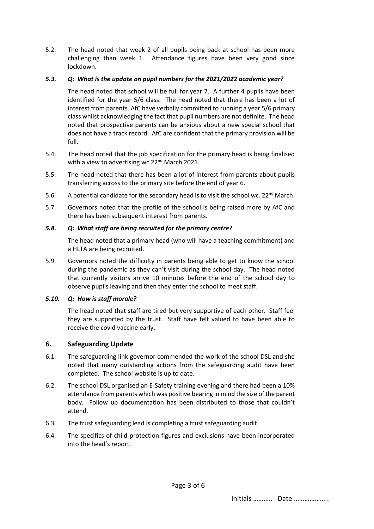5.2. The head noted that week 2 of all pupils being back at school has been more challenging than week 1. Attendance figures have been very good since lockdown.

# *5.3. Q: What is the update on pupil numbers for the 2021/2022 academic year?*

The head noted that school will be full for year 7. A further 4 pupils have been identified for the year 5/6 class. The head noted that there has been a lot of interest from parents. AfC have verbally committed to running a year 5/6 primary class whilst acknowledging the fact that pupil numbers are not definite. The head noted that prospective parents can be anxious about a new special school that does not have a track record. AfC are confident that the primary provision will be full.

- 5.4. The head noted that the job specification for the primary head is being finalised with a view to advertising wc 22<sup>nd</sup> March 2021.
- 5.5. The head noted that there has been a lot of interest from parents about pupils transferring across to the primary site before the end of year 6.
- 5.6. A potential candidate for the secondary head is to visit the school wc.  $22^{nd}$  March.
- 5.7. Governors noted that the profile of the school is being raised more by AfC and there has been subsequent interest from parents.

# *5.8. Q: What staff are being recruited for the primary centre?*

The head noted that a primary head (who will have a teaching commitment) and a HLTA are being recruited.

5.9. Governors noted the difficulty in parents being able to get to know the school during the pandemic as they can't visit during the school day. The head noted that currently visitors arrive 10 minutes before the end of the school day to observe pupils leaving and then they enter the school to meet staff.

# *5.10. Q: How is staff morale?*

The head noted that staff are tired but very supportive of each other. Staff feel they are supported by the trust. Staff have felt valued to have been able to receive the covid vaccine early.

# **6. Safeguarding Update**

- 6.1. The safeguarding link governor commended the work of the school DSL and she noted that many outstanding actions from the safeguarding audit have been completed. The school website is up to date.
- 6.2. The school DSL organised an E-Safety training evening and there had been a 10% attendance from parents which was positive bearing in mind the size of the parent body. Follow up documentation has been distributed to those that couldn't attend.
- 6.3. The trust safeguarding lead is completing a trust safeguarding audit.
- 6.4. The specifics of child protection figures and exclusions have been incorporated into the head's report.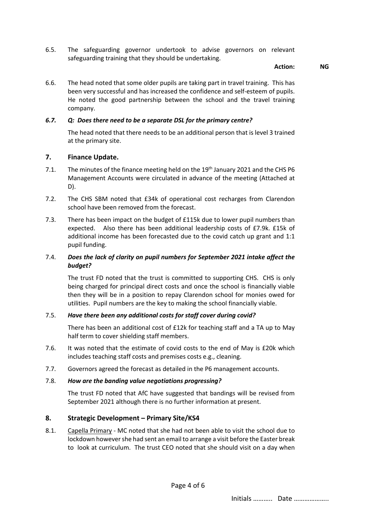6.5. The safeguarding governor undertook to advise governors on relevant safeguarding training that they should be undertaking.

#### **Action: NG**

6.6. The head noted that some older pupils are taking part in travel training. This has been very successful and has increased the confidence and self-esteem of pupils. He noted the good partnership between the school and the travel training company.

#### *6.7. Q: Does there need to be a separate DSL for the primary centre?*

The head noted that there needs to be an additional person that is level 3 trained at the primary site.

#### **7. Finance Update.**

- 7.1. The minutes of the finance meeting held on the 19<sup>th</sup> January 2021 and the CHS P6 Management Accounts were circulated in advance of the meeting (Attached at D).
- 7.2. The CHS SBM noted that £34k of operational cost recharges from Clarendon school have been removed from the forecast.
- 7.3. There has been impact on the budget of £115k due to lower pupil numbers than expected. Also there has been additional leadership costs of £7.9k. £15k of additional income has been forecasted due to the covid catch up grant and 1:1 pupil funding.

#### 7.4. *Does the lack of clarity on pupil numbers for September 2021 intake affect the budget?*

The trust FD noted that the trust is committed to supporting CHS. CHS is only being charged for principal direct costs and once the school is financially viable then they will be in a position to repay Clarendon school for monies owed for utilities. Pupil numbers are the key to making the school financially viable.

#### 7.5. *Have there been any additional costs for staff cover during covid?*

There has been an additional cost of £12k for teaching staff and a TA up to May half term to cover shielding staff members.

- 7.6. It was noted that the estimate of covid costs to the end of May is £20k which includes teaching staff costs and premises costs e.g., cleaning.
- 7.7. Governors agreed the forecast as detailed in the P6 management accounts.

#### 7.8. *How are the banding value negotiations progressing?*

The trust FD noted that AfC have suggested that bandings will be revised from September 2021 although there is no further information at present.

# **8. Strategic Development – Primary Site/KS4**

8.1. Capella Primary - MC noted that she had not been able to visit the school due to lockdown however she had sent an email to arrange a visit before the Easter break to look at curriculum. The trust CEO noted that she should visit on a day when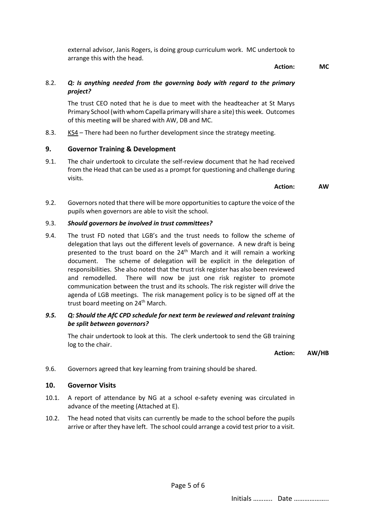external advisor, Janis Rogers, is doing group curriculum work. MC undertook to arrange this with the head.

**Action: MC**

## 8.2. *Q: Is anything needed from the governing body with regard to the primary project?*

The trust CEO noted that he is due to meet with the headteacher at St Marys Primary School (with whom Capella primary will share a site) this week. Outcomes of this meeting will be shared with AW, DB and MC.

8.3. KS4 – There had been no further development since the strategy meeting.

# **9. Governor Training & Development**

9.1. The chair undertook to circulate the self-review document that he had received from the Head that can be used as a prompt for questioning and challenge during visits.

#### **Action: AW**

9.2. Governors noted that there will be more opportunities to capture the voice of the pupils when governors are able to visit the school.

#### 9.3. *Should governors be involved in trust committees?*

9.4. The trust FD noted that LGB's and the trust needs to follow the scheme of delegation that lays out the different levels of governance. A new draft is being presented to the trust board on the 24<sup>th</sup> March and it will remain a working document. The scheme of delegation will be explicit in the delegation of responsibilities. She also noted that the trust risk register has also been reviewed and remodelled. There will now be just one risk register to promote communication between the trust and its schools. The risk register will drive the agenda of LGB meetings. The risk management policy is to be signed off at the trust board meeting on 24<sup>th</sup> March.

# *9.5. Q: Should the AfC CPD schedule for next term be reviewed and relevant training be split between governors?*

The chair undertook to look at this. The clerk undertook to send the GB training log to the chair.

**Action: AW/HB**

9.6. Governors agreed that key learning from training should be shared.

# **10. Governor Visits**

- 10.1. A report of attendance by NG at a school e-safety evening was circulated in advance of the meeting (Attached at E).
- 10.2. The head noted that visits can currently be made to the school before the pupils arrive or after they have left. The school could arrange a covid test prior to a visit.